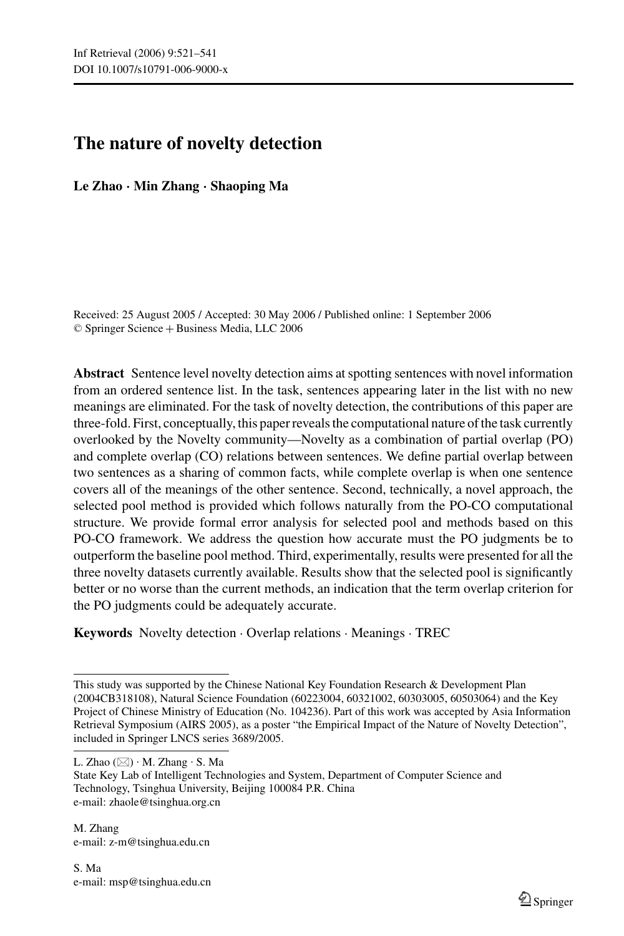# **The nature of novelty detection**

**Le Zhao** *·* **Min Zhang** *·* **Shaoping Ma**

Received: 25 August 2005 / Accepted: 30 May 2006 / Published online: 1 September 2006 -<sup>C</sup> Springer Science + Business Media, LLC 2006

**Abstract** Sentence level novelty detection aims at spotting sentences with novel information from an ordered sentence list. In the task, sentences appearing later in the list with no new meanings are eliminated. For the task of novelty detection, the contributions of this paper are three-fold. First, conceptually, this paper reveals the computational nature of the task currently overlooked by the Novelty community—Novelty as a combination of partial overlap (PO) and complete overlap (CO) relations between sentences. We define partial overlap between two sentences as a sharing of common facts, while complete overlap is when one sentence covers all of the meanings of the other sentence. Second, technically, a novel approach, the selected pool method is provided which follows naturally from the PO-CO computational structure. We provide formal error analysis for selected pool and methods based on this PO-CO framework. We address the question how accurate must the PO judgments be to outperform the baseline pool method. Third, experimentally, results were presented for all the three novelty datasets currently available. Results show that the selected pool is significantly better or no worse than the current methods, an indication that the term overlap criterion for the PO judgments could be adequately accurate.

**Keywords** Novelty detection . Overlap relations . Meanings . TREC

L. Zhao  $(\boxtimes) \cdot$  M. Zhang  $\cdot$  S. Ma

This study was supported by the Chinese National Key Foundation Research & Development Plan (2004CB318108), Natural Science Foundation (60223004, 60321002, 60303005, 60503064) and the Key Project of Chinese Ministry of Education (No. 104236). Part of this work was accepted by Asia Information Retrieval Symposium (AIRS 2005), as a poster "the Empirical Impact of the Nature of Novelty Detection", included in Springer LNCS series 3689/2005.

State Key Lab of Intelligent Technologies and System, Department of Computer Science and Technology, Tsinghua University, Beijing 100084 P.R. China e-mail: zhaole@tsinghua.org.cn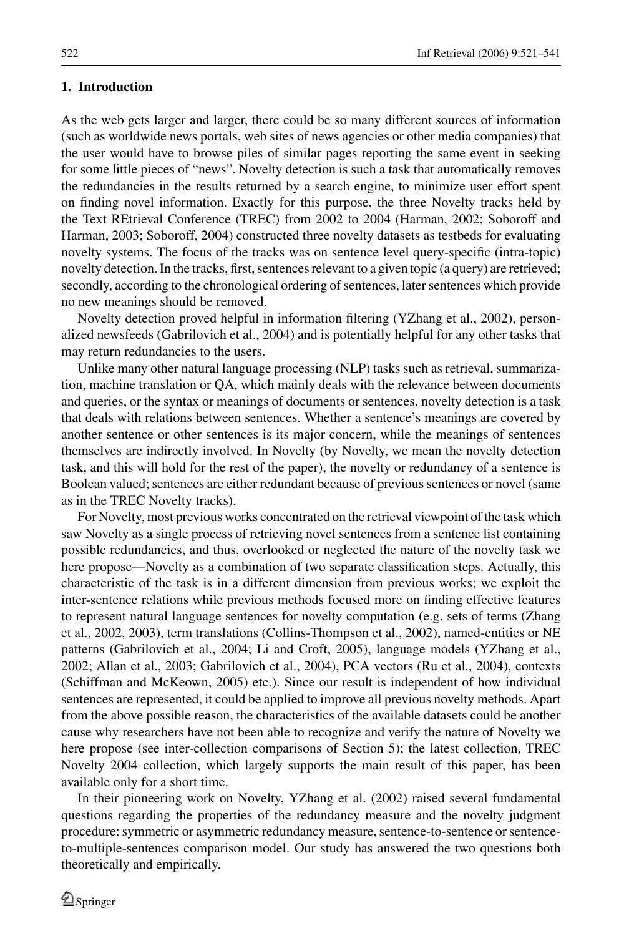## **1. Introduction**

As the web gets larger and larger, there could be so many different sources of information (such as worldwide news portals, web sites of news agencies or other media companies) that the user would have to browse piles of similar pages reporting the same event in seeking for some little pieces of "news". Novelty detection is such a task that automatically removes the redundancies in the results returned by a search engine, to minimize user effort spent on finding novel information. Exactly for this purpose, the three Novelty tracks held by the Text REtrieval Conference (TREC) from 2002 to 2004 (Harman, 2002; Soboroff and Harman, 2003; Soboroff, 2004) constructed three novelty datasets as testbeds for evaluating novelty systems. The focus of the tracks was on sentence level query-specific (intra-topic) novelty detection. In the tracks, first, sentences relevant to a given topic (a query) are retrieved; secondly, according to the chronological ordering of sentences, later sentences which provide no new meanings should be removed.

Novelty detection proved helpful in information filtering (YZhang et al., 2002), personalized newsfeeds (Gabrilovich et al., 2004) and is potentially helpful for any other tasks that may return redundancies to the users.

Unlike many other natural language processing (NLP) tasks such as retrieval, summarization, machine translation or QA, which mainly deals with the relevance between documents and queries, or the syntax or meanings of documents or sentences, novelty detection is a task that deals with relations between sentences. Whether a sentence's meanings are covered by another sentence or other sentences is its major concern, while the meanings of sentences themselves are indirectly involved. In Novelty (by Novelty, we mean the novelty detection task, and this will hold for the rest of the paper), the novelty or redundancy of a sentence is Boolean valued; sentences are either redundant because of previous sentences or novel (same as in the TREC Novelty tracks).

For Novelty, most previous works concentrated on the retrieval viewpoint of the task which saw Novelty as a single process of retrieving novel sentences from a sentence list containing possible redundancies, and thus, overlooked or neglected the nature of the novelty task we here propose—Novelty as a combination of two separate classification steps. Actually, this characteristic of the task is in a different dimension from previous works; we exploit the inter-sentence relations while previous methods focused more on finding effective features to represent natural language sentences for novelty computation (e.g. sets of terms (Zhang et al., 2002, 2003), term translations (Collins-Thompson et al., 2002), named-entities or NE patterns (Gabrilovich et al., 2004; Li and Croft, 2005), language models (YZhang et al., 2002; Allan et al., 2003; Gabrilovich et al., 2004), PCA vectors (Ru et al., 2004), contexts (Schiffman and McKeown, 2005) etc.). Since our result is independent of how individual sentences are represented, it could be applied to improve all previous novelty methods. Apart from the above possible reason, the characteristics of the available datasets could be another cause why researchers have not been able to recognize and verify the nature of Novelty we here propose (see inter-collection comparisons of Section 5); the latest collection, TREC Novelty 2004 collection, which largely supports the main result of this paper, has been available only for a short time.

In their pioneering work on Novelty, YZhang et al. (2002) raised several fundamental questions regarding the properties of the redundancy measure and the novelty judgment procedure: symmetric or asymmetric redundancy measure, sentence-to-sentence or sentenceto-multiple-sentences comparison model. Our study has answered the two questions both theoretically and empirically.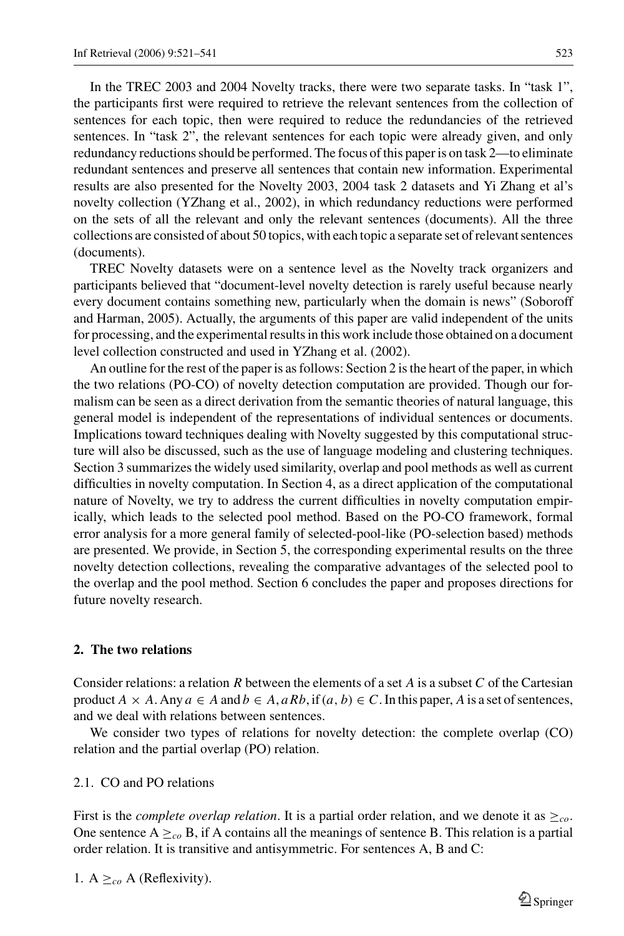In the TREC 2003 and 2004 Novelty tracks, there were two separate tasks. In "task 1", the participants first were required to retrieve the relevant sentences from the collection of sentences for each topic, then were required to reduce the redundancies of the retrieved sentences. In "task 2", the relevant sentences for each topic were already given, and only redundancy reductions should be performed. The focus of this paper is on task 2—to eliminate redundant sentences and preserve all sentences that contain new information. Experimental results are also presented for the Novelty 2003, 2004 task 2 datasets and Yi Zhang et al's novelty collection (YZhang et al., 2002), in which redundancy reductions were performed on the sets of all the relevant and only the relevant sentences (documents). All the three collections are consisted of about 50 topics, with each topic a separate set of relevant sentences (documents).

TREC Novelty datasets were on a sentence level as the Novelty track organizers and participants believed that "document-level novelty detection is rarely useful because nearly every document contains something new, particularly when the domain is news" (Soboroff and Harman, 2005). Actually, the arguments of this paper are valid independent of the units for processing, and the experimental results in this work include those obtained on a document level collection constructed and used in YZhang et al. (2002).

An outline for the rest of the paper is as follows: Section 2 is the heart of the paper, in which the two relations (PO-CO) of novelty detection computation are provided. Though our formalism can be seen as a direct derivation from the semantic theories of natural language, this general model is independent of the representations of individual sentences or documents. Implications toward techniques dealing with Novelty suggested by this computational structure will also be discussed, such as the use of language modeling and clustering techniques. Section 3 summarizes the widely used similarity, overlap and pool methods as well as current difficulties in novelty computation. In Section 4, as a direct application of the computational nature of Novelty, we try to address the current difficulties in novelty computation empirically, which leads to the selected pool method. Based on the PO-CO framework, formal error analysis for a more general family of selected-pool-like (PO-selection based) methods are presented. We provide, in Section 5, the corresponding experimental results on the three novelty detection collections, revealing the comparative advantages of the selected pool to the overlap and the pool method. Section 6 concludes the paper and proposes directions for future novelty research.

#### **2. The two relations**

Consider relations: a relation *R* between the elements of a set *A* is a subset *C* of the Cartesian product  $A \times A$ . Any  $a \in A$  and  $b \in A$ ,  $aRb$ , if  $(a, b) \in C$ . In this paper, A is a set of sentences, and we deal with relations between sentences.

We consider two types of relations for novelty detection: the complete overlap (CO) relation and the partial overlap (PO) relation.

# 2.1. CO and PO relations

First is the *complete overlap relation*. It is a partial order relation, and we denote it as  $\geq_{co}$ . One sentence  $A \geq_{co} B$ , if A contains all the meanings of sentence B. This relation is a partial order relation. It is transitive and antisymmetric. For sentences A, B and C:

1. A  $\geq_{co}$  A (Reflexivity).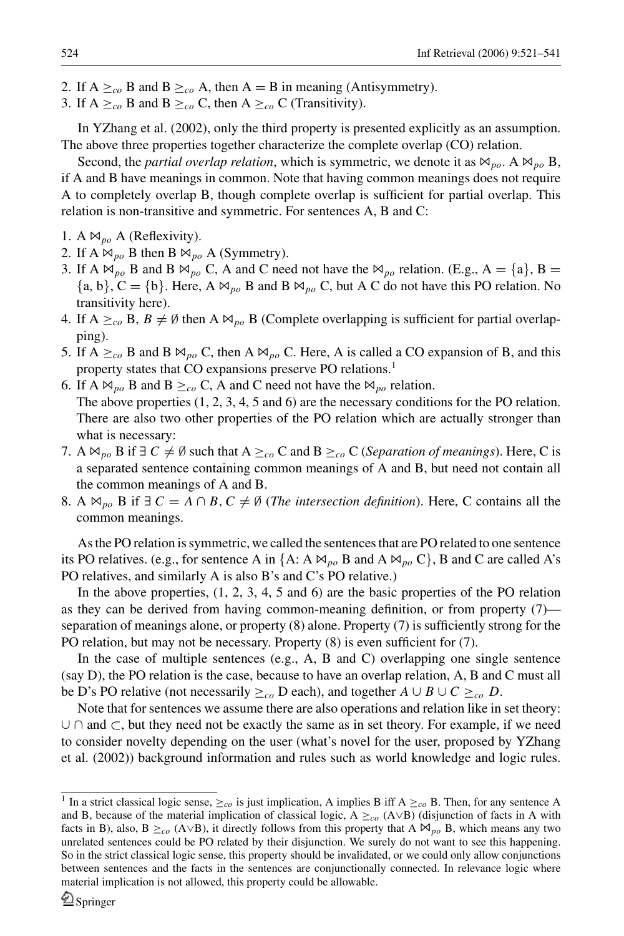- 2. If  $A \geq_{co} B$  and  $B \geq_{co} A$ , then  $A = B$  in meaning (Antisymmetry).
- 3. If  $A \geq_{co} B$  and  $B \geq_{co} C$ , then  $A \geq_{co} C$  (Transitivity).

In YZhang et al. (2002), only the third property is presented explicitly as an assumption. The above three properties together characterize the complete overlap (CO) relation.

Second, the *partial overlap relation*, which is symmetric, we denote it as  $\mathbb{A}_{p_0}$ . A  $\mathbb{A}_{p_0}$  B, if A and B have meanings in common. Note that having common meanings does not require A to completely overlap B, though complete overlap is sufficient for partial overlap. This relation is non-transitive and symmetric. For sentences A, B and C:

- 1. A  $\bowtie$ <sub>po</sub> A (Reflexivity).
- 2. If  $A \Join_{po} B$  then  $B \Join_{po} A$  (Symmetry).
- 3. If A  $\Join_{po}$  B and B  $\Join_{po}$  C, A and C need not have the  $\Join_{po}$  relation. (E.g., A = {a}, B =  $\{a, b\}$ ,  $C = \{b\}$ . Here,  $A \Join_{po} B$  and  $B \Join_{po} C$ , but A C do not have this PO relation. No transitivity here).
- 4. If  $A \geq_{co} B$ ,  $B \neq \emptyset$  then  $A \bowtie_{po} B$  (Complete overlapping is sufficient for partial overlapping).
- 5. If  $A \geq_{co} B$  and  $B \Join_{po} C$ , then  $A \Join_{po} C$ . Here, A is called a CO expansion of B, and this property states that CO expansions preserve PO relations.<sup>1</sup>
- 6. If A  $\Join_{p,q}$  B and B  $\geq_{c,q}$  C, A and C need not have the  $\Join_{p,q}$  relation. The above properties (1, 2, 3, 4, 5 and 6) are the necessary conditions for the PO relation. There are also two other properties of the PO relation which are actually stronger than what is necessary:
- 7. A  $\bowtie$ <sub>*po*</sub> B if ∃ *C*  $\neq$  Ø such that A ≥<sub>*co*</sub> C and B ≥<sub>*co*</sub> C (*Separation of meanings*). Here, C is a separated sentence containing common meanings of A and B, but need not contain all the common meanings of A and B.
- 8. A  $\Join_{po}$  B if ∃ *C* = *A* ∩ *B*, *C*  $\neq$  *Ø* (*The intersection definition*). Here, *C* contains all the common meanings.

As the PO relation is symmetric, we called the sentences that are PO related to one sentence its PO relatives. (e.g., for sentence A in  $\{A: A \Join_{po} B \text{ and } A \Join_{po} C\}$ , B and C are called A's PO relatives, and similarly A is also B's and C's PO relative.)

In the above properties, (1, 2, 3, 4, 5 and 6) are the basic properties of the PO relation as they can be derived from having common-meaning definition, or from property (7) separation of meanings alone, or property (8) alone. Property (7) is sufficiently strong for the PO relation, but may not be necessary. Property (8) is even sufficient for (7).

In the case of multiple sentences (e.g., A, B and C) overlapping one single sentence (say D), the PO relation is the case, because to have an overlap relation, A, B and C must all be D's PO relative (not necessarily ≥<sub>*co*</sub></sub> D each), and together  $A ∪ B ∪ C ≥<sub>co</sub> D$ .

Note that for sentences we assume there are also operations and relation like in set theory: ∪ ∩ and ⊂, but they need not be exactly the same as in set theory. For example, if we need to consider novelty depending on the user (what's novel for the user, proposed by YZhang et al. (2002)) background information and rules such as world knowledge and logic rules.

<sup>&</sup>lt;sup>1</sup> In a strict classical logic sense,  $\geq_{co}$  is just implication, A implies B iff A  $\geq_{co}$  B. Then, for any sentence A and B, because of the material implication of classical logic, A  $\geq_{co}$  (A∨B) (disjunction of facts in A with facts in B), also, B  $\geq_{co}$  (A∨B), it directly follows from this property that A  $\bowtie_{po}$  B, which means any two unrelated sentences could be PO related by their disjunction. We surely do not want to see this happening. So in the strict classical logic sense, this property should be invalidated, or we could only allow conjunctions between sentences and the facts in the sentences are conjunctionally connected. In relevance logic where material implication is not allowed, this property could be allowable.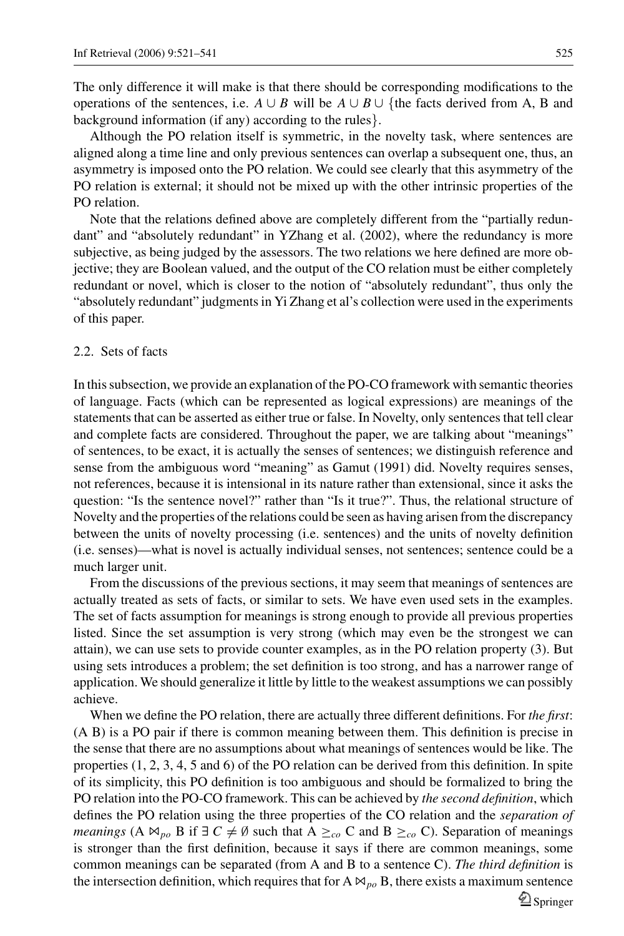The only difference it will make is that there should be corresponding modifications to the operations of the sentences, i.e.  $A \cup B$  will be  $A \cup B \cup \{$ the facts derived from A, B and background information (if any) according to the rules}.

Although the PO relation itself is symmetric, in the novelty task, where sentences are aligned along a time line and only previous sentences can overlap a subsequent one, thus, an asymmetry is imposed onto the PO relation. We could see clearly that this asymmetry of the PO relation is external; it should not be mixed up with the other intrinsic properties of the PO relation.

Note that the relations defined above are completely different from the "partially redundant" and "absolutely redundant" in YZhang et al. (2002), where the redundancy is more subjective, as being judged by the assessors. The two relations we here defined are more objective; they are Boolean valued, and the output of the CO relation must be either completely redundant or novel, which is closer to the notion of "absolutely redundant", thus only the "absolutely redundant" judgments in Yi Zhang et al's collection were used in the experiments of this paper.

## 2.2. Sets of facts

In this subsection, we provide an explanation of the PO-CO framework with semantic theories of language. Facts (which can be represented as logical expressions) are meanings of the statements that can be asserted as either true or false. In Novelty, only sentences that tell clear and complete facts are considered. Throughout the paper, we are talking about "meanings" of sentences, to be exact, it is actually the senses of sentences; we distinguish reference and sense from the ambiguous word "meaning" as Gamut (1991) did. Novelty requires senses, not references, because it is intensional in its nature rather than extensional, since it asks the question: "Is the sentence novel?" rather than "Is it true?". Thus, the relational structure of Novelty and the properties of the relations could be seen as having arisen from the discrepancy between the units of novelty processing (i.e. sentences) and the units of novelty definition (i.e. senses)—what is novel is actually individual senses, not sentences; sentence could be a much larger unit.

From the discussions of the previous sections, it may seem that meanings of sentences are actually treated as sets of facts, or similar to sets. We have even used sets in the examples. The set of facts assumption for meanings is strong enough to provide all previous properties listed. Since the set assumption is very strong (which may even be the strongest we can attain), we can use sets to provide counter examples, as in the PO relation property (3). But using sets introduces a problem; the set definition is too strong, and has a narrower range of application. We should generalize it little by little to the weakest assumptions we can possibly achieve.

When we define the PO relation, there are actually three different definitions. For *the first*: (A B) is a PO pair if there is common meaning between them. This definition is precise in the sense that there are no assumptions about what meanings of sentences would be like. The properties (1, 2, 3, 4, 5 and 6) of the PO relation can be derived from this definition. In spite of its simplicity, this PO definition is too ambiguous and should be formalized to bring the PO relation into the PO-CO framework. This can be achieved by *the second definition*, which defines the PO relation using the three properties of the CO relation and the *separation of meanings* (A  $\bowtie_{po}$  B if  $\exists C \neq \emptyset$  such that A  $\geq_{co} C$  and B  $\geq_{co} C$ ). Separation of meanings is stronger than the first definition, because it says if there are common meanings, some common meanings can be separated (from A and B to a sentence C). *The third definition* is the intersection definition, which requires that for  $A \Join_{po} B$ , there exists a maximum sentence

 $\mathcal{Q}_{\text{Springer}}$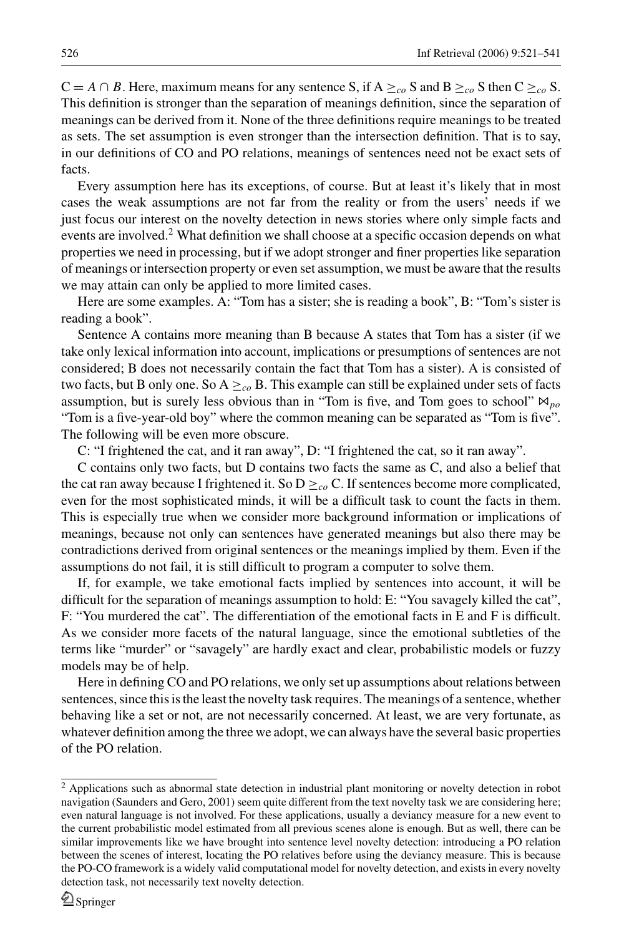$C = A \cap B$ . Here, maximum means for any sentence S, if  $A \geq_{co} S$  and  $B \geq_{co} S$  then  $C \geq_{co} S$ . This definition is stronger than the separation of meanings definition, since the separation of meanings can be derived from it. None of the three definitions require meanings to be treated as sets. The set assumption is even stronger than the intersection definition. That is to say, in our definitions of CO and PO relations, meanings of sentences need not be exact sets of facts.

Every assumption here has its exceptions, of course. But at least it's likely that in most cases the weak assumptions are not far from the reality or from the users' needs if we just focus our interest on the novelty detection in news stories where only simple facts and events are involved.<sup>2</sup> What definition we shall choose at a specific occasion depends on what properties we need in processing, but if we adopt stronger and finer properties like separation of meanings or intersection property or even set assumption, we must be aware that the results we may attain can only be applied to more limited cases.

Here are some examples. A: "Tom has a sister; she is reading a book", B: "Tom's sister is reading a book".

Sentence A contains more meaning than B because A states that Tom has a sister (if we take only lexical information into account, implications or presumptions of sentences are not considered; B does not necessarily contain the fact that Tom has a sister). A is consisted of two facts, but B only one. So  $A \geq_{co} B$ . This example can still be explained under sets of facts assumption, but is surely less obvious than in "Tom is five, and Tom goes to school"  $\mathcal{A}_{po}$ "Tom is a five-year-old boy" where the common meaning can be separated as "Tom is five". The following will be even more obscure.

C: "I frightened the cat, and it ran away", D: "I frightened the cat, so it ran away".

C contains only two facts, but D contains two facts the same as C, and also a belief that the cat ran away because I frightened it. So  $D \geq_{co} C$ . If sentences become more complicated, even for the most sophisticated minds, it will be a difficult task to count the facts in them. This is especially true when we consider more background information or implications of meanings, because not only can sentences have generated meanings but also there may be contradictions derived from original sentences or the meanings implied by them. Even if the assumptions do not fail, it is still difficult to program a computer to solve them.

If, for example, we take emotional facts implied by sentences into account, it will be difficult for the separation of meanings assumption to hold: E: "You savagely killed the cat", F: "You murdered the cat". The differentiation of the emotional facts in E and F is difficult. As we consider more facets of the natural language, since the emotional subtleties of the terms like "murder" or "savagely" are hardly exact and clear, probabilistic models or fuzzy models may be of help.

Here in defining CO and PO relations, we only set up assumptions about relations between sentences, since this is the least the novelty task requires. The meanings of a sentence, whether behaving like a set or not, are not necessarily concerned. At least, we are very fortunate, as whatever definition among the three we adopt, we can always have the several basic properties of the PO relation.

<sup>&</sup>lt;sup>2</sup> Applications such as abnormal state detection in industrial plant monitoring or novelty detection in robot navigation (Saunders and Gero, 2001) seem quite different from the text novelty task we are considering here; even natural language is not involved. For these applications, usually a deviancy measure for a new event to the current probabilistic model estimated from all previous scenes alone is enough. But as well, there can be similar improvements like we have brought into sentence level novelty detection: introducing a PO relation between the scenes of interest, locating the PO relatives before using the deviancy measure. This is because the PO-CO framework is a widely valid computational model for novelty detection, and exists in every novelty detection task, not necessarily text novelty detection.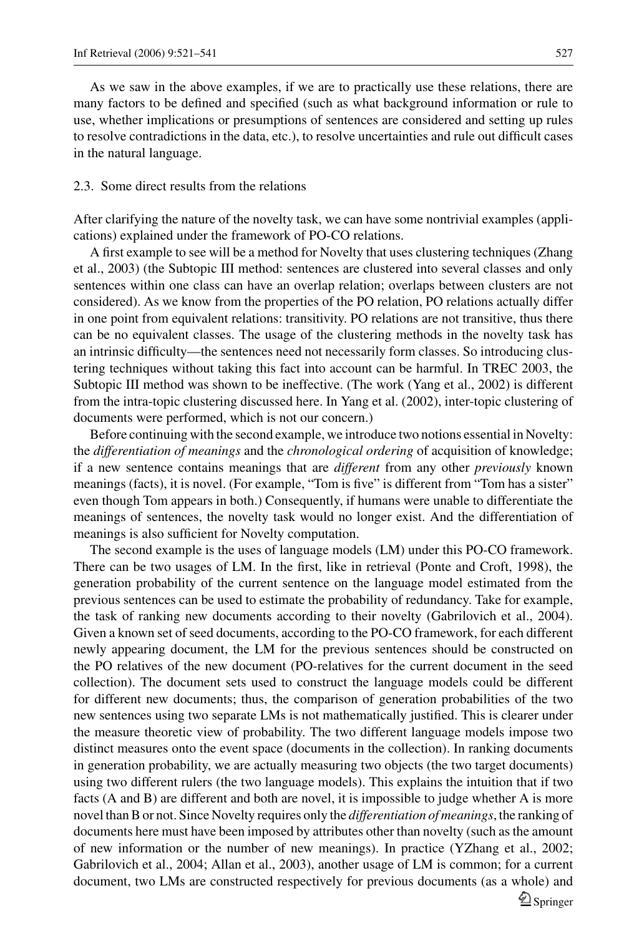As we saw in the above examples, if we are to practically use these relations, there are many factors to be defined and specified (such as what background information or rule to use, whether implications or presumptions of sentences are considered and setting up rules to resolve contradictions in the data, etc.), to resolve uncertainties and rule out difficult cases in the natural language.

#### 2.3. Some direct results from the relations

After clarifying the nature of the novelty task, we can have some nontrivial examples (applications) explained under the framework of PO-CO relations.

A first example to see will be a method for Novelty that uses clustering techniques (Zhang et al., 2003) (the Subtopic III method: sentences are clustered into several classes and only sentences within one class can have an overlap relation; overlaps between clusters are not considered). As we know from the properties of the PO relation, PO relations actually differ in one point from equivalent relations: transitivity. PO relations are not transitive, thus there can be no equivalent classes. The usage of the clustering methods in the novelty task has an intrinsic difficulty—the sentences need not necessarily form classes. So introducing clustering techniques without taking this fact into account can be harmful. In TREC 2003, the Subtopic III method was shown to be ineffective. (The work (Yang et al., 2002) is different from the intra-topic clustering discussed here. In Yang et al. (2002), inter-topic clustering of documents were performed, which is not our concern.)

Before continuing with the second example, we introduce two notions essential in Novelty: the *differentiation of meanings* and the *chronological ordering* of acquisition of knowledge; if a new sentence contains meanings that are *different* from any other *previously* known meanings (facts), it is novel. (For example, "Tom is five" is different from "Tom has a sister" even though Tom appears in both.) Consequently, if humans were unable to differentiate the meanings of sentences, the novelty task would no longer exist. And the differentiation of meanings is also sufficient for Novelty computation.

The second example is the uses of language models (LM) under this PO-CO framework. There can be two usages of LM. In the first, like in retrieval (Ponte and Croft, 1998), the generation probability of the current sentence on the language model estimated from the previous sentences can be used to estimate the probability of redundancy. Take for example, the task of ranking new documents according to their novelty (Gabrilovich et al., 2004). Given a known set of seed documents, according to the PO-CO framework, for each different newly appearing document, the LM for the previous sentences should be constructed on the PO relatives of the new document (PO-relatives for the current document in the seed collection). The document sets used to construct the language models could be different for different new documents; thus, the comparison of generation probabilities of the two new sentences using two separate LMs is not mathematically justified. This is clearer under the measure theoretic view of probability. The two different language models impose two distinct measures onto the event space (documents in the collection). In ranking documents in generation probability, we are actually measuring two objects (the two target documents) using two different rulers (the two language models). This explains the intuition that if two facts (A and B) are different and both are novel, it is impossible to judge whether A is more novel than B or not. Since Novelty requires only the *differentiation of meanings*, the ranking of documents here must have been imposed by attributes other than novelty (such as the amount of new information or the number of new meanings). In practice (YZhang et al., 2002; Gabrilovich et al., 2004; Allan et al., 2003), another usage of LM is common; for a current document, two LMs are constructed respectively for previous documents (as a whole) and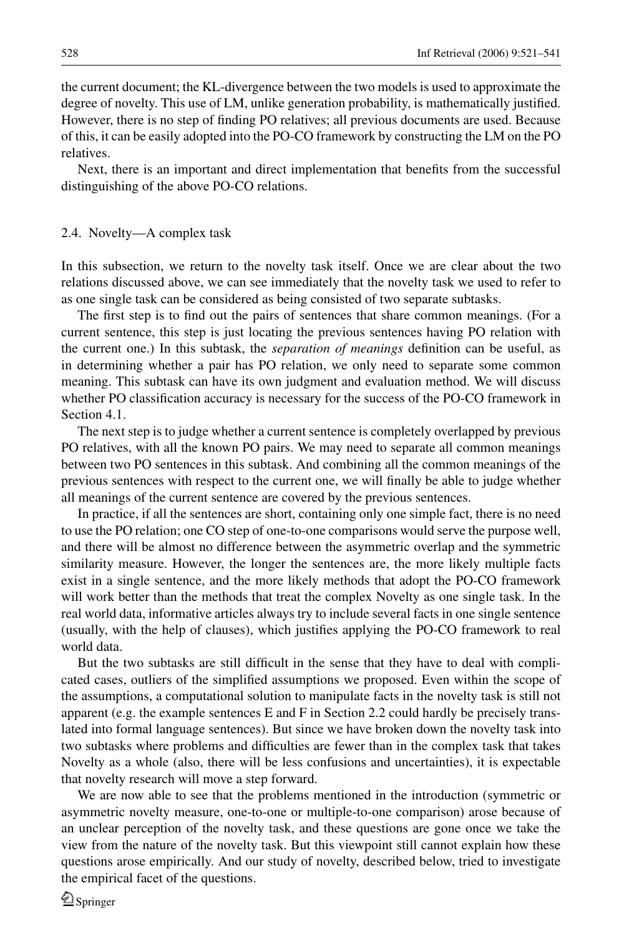the current document; the KL-divergence between the two models is used to approximate the degree of novelty. This use of LM, unlike generation probability, is mathematically justified. However, there is no step of finding PO relatives; all previous documents are used. Because of this, it can be easily adopted into the PO-CO framework by constructing the LM on the PO relatives.

Next, there is an important and direct implementation that benefits from the successful distinguishing of the above PO-CO relations.

#### 2.4. Novelty—A complex task

In this subsection, we return to the novelty task itself. Once we are clear about the two relations discussed above, we can see immediately that the novelty task we used to refer to as one single task can be considered as being consisted of two separate subtasks.

The first step is to find out the pairs of sentences that share common meanings. (For a current sentence, this step is just locating the previous sentences having PO relation with the current one.) In this subtask, the *separation of meanings* definition can be useful, as in determining whether a pair has PO relation, we only need to separate some common meaning. This subtask can have its own judgment and evaluation method. We will discuss whether PO classification accuracy is necessary for the success of the PO-CO framework in Section 4.1.

The next step is to judge whether a current sentence is completely overlapped by previous PO relatives, with all the known PO pairs. We may need to separate all common meanings between two PO sentences in this subtask. And combining all the common meanings of the previous sentences with respect to the current one, we will finally be able to judge whether all meanings of the current sentence are covered by the previous sentences.

In practice, if all the sentences are short, containing only one simple fact, there is no need to use the PO relation; one CO step of one-to-one comparisons would serve the purpose well, and there will be almost no difference between the asymmetric overlap and the symmetric similarity measure. However, the longer the sentences are, the more likely multiple facts exist in a single sentence, and the more likely methods that adopt the PO-CO framework will work better than the methods that treat the complex Novelty as one single task. In the real world data, informative articles always try to include several facts in one single sentence (usually, with the help of clauses), which justifies applying the PO-CO framework to real world data.

But the two subtasks are still difficult in the sense that they have to deal with complicated cases, outliers of the simplified assumptions we proposed. Even within the scope of the assumptions, a computational solution to manipulate facts in the novelty task is still not apparent (e.g. the example sentences E and F in Section 2.2 could hardly be precisely translated into formal language sentences). But since we have broken down the novelty task into two subtasks where problems and difficulties are fewer than in the complex task that takes Novelty as a whole (also, there will be less confusions and uncertainties), it is expectable that novelty research will move a step forward.

We are now able to see that the problems mentioned in the introduction (symmetric or asymmetric novelty measure, one-to-one or multiple-to-one comparison) arose because of an unclear perception of the novelty task, and these questions are gone once we take the view from the nature of the novelty task. But this viewpoint still cannot explain how these questions arose empirically. And our study of novelty, described below, tried to investigate the empirical facet of the questions.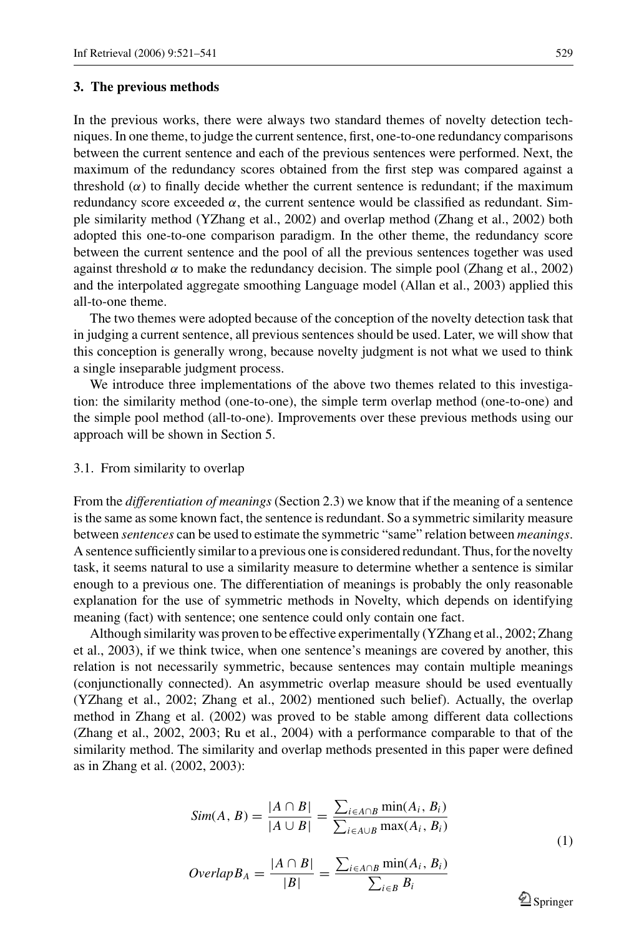#### **3. The previous methods**

In the previous works, there were always two standard themes of novelty detection techniques. In one theme, to judge the current sentence, first, one-to-one redundancy comparisons between the current sentence and each of the previous sentences were performed. Next, the maximum of the redundancy scores obtained from the first step was compared against a threshold  $(\alpha)$  to finally decide whether the current sentence is redundant; if the maximum redundancy score exceeded  $\alpha$ , the current sentence would be classified as redundant. Simple similarity method (YZhang et al., 2002) and overlap method (Zhang et al., 2002) both adopted this one-to-one comparison paradigm. In the other theme, the redundancy score between the current sentence and the pool of all the previous sentences together was used against threshold  $\alpha$  to make the redundancy decision. The simple pool (Zhang et al., 2002) and the interpolated aggregate smoothing Language model (Allan et al., 2003) applied this all-to-one theme.

The two themes were adopted because of the conception of the novelty detection task that in judging a current sentence, all previous sentences should be used. Later, we will show that this conception is generally wrong, because novelty judgment is not what we used to think a single inseparable judgment process.

We introduce three implementations of the above two themes related to this investigation: the similarity method (one-to-one), the simple term overlap method (one-to-one) and the simple pool method (all-to-one). Improvements over these previous methods using our approach will be shown in Section 5.

## 3.1. From similarity to overlap

From the *differentiation of meanings* (Section 2.3) we know that if the meaning of a sentence is the same as some known fact, the sentence is redundant. So a symmetric similarity measure between *sentences* can be used to estimate the symmetric "same" relation between *meanings*. A sentence sufficiently similar to a previous one is considered redundant. Thus, for the novelty task, it seems natural to use a similarity measure to determine whether a sentence is similar enough to a previous one. The differentiation of meanings is probably the only reasonable explanation for the use of symmetric methods in Novelty, which depends on identifying meaning (fact) with sentence; one sentence could only contain one fact.

Although similarity was proven to be effective experimentally (YZhang et al., 2002; Zhang et al., 2003), if we think twice, when one sentence's meanings are covered by another, this relation is not necessarily symmetric, because sentences may contain multiple meanings (conjunctionally connected). An asymmetric overlap measure should be used eventually (YZhang et al., 2002; Zhang et al., 2002) mentioned such belief). Actually, the overlap method in Zhang et al. (2002) was proved to be stable among different data collections (Zhang et al., 2002, 2003; Ru et al., 2004) with a performance comparable to that of the similarity method. The similarity and overlap methods presented in this paper were defined as in Zhang et al. (2002, 2003):

$$
Sim(A, B) = \frac{|A \cap B|}{|A \cup B|} = \frac{\sum_{i \in A \cap B} \min(A_i, B_i)}{\sum_{i \in A \cup B} \max(A_i, B_i)}
$$
(1)  
Overlap $B_A = \frac{|A \cap B|}{|B|} = \frac{\sum_{i \in A \cap B} \min(A_i, B_i)}{\sum_{i \in B} B_i}$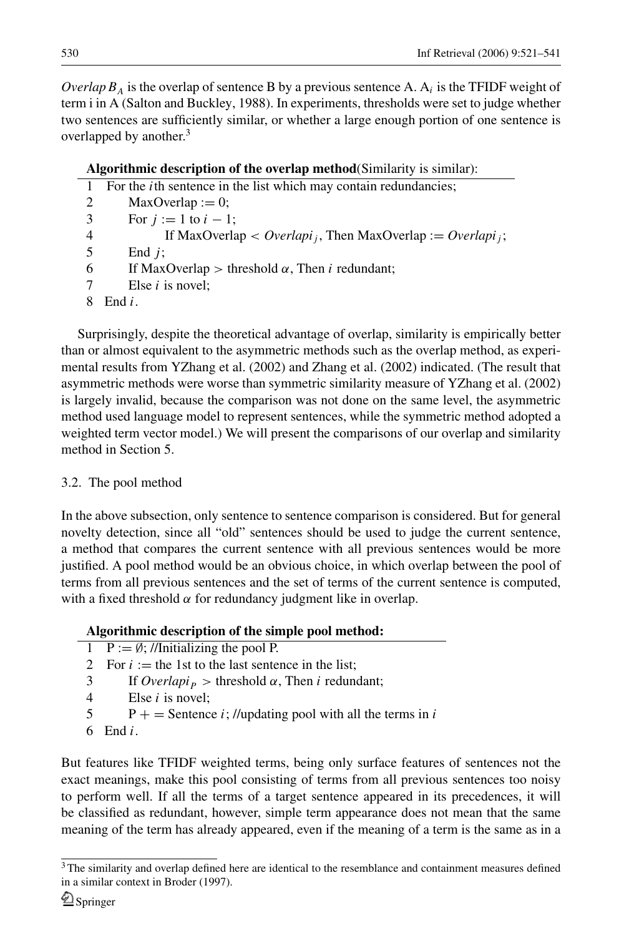*Overlap*  $B_A$  is the overlap of sentence B by a previous sentence A.  $A_i$  is the TFIDF weight of term i in A (Salton and Buckley, 1988). In experiments, thresholds were set to judge whether two sentences are sufficiently similar, or whether a large enough portion of one sentence is overlapped by another.<sup>3</sup>

# **Algorithmic description of the overlap method**(Similarity is similar):

```
1 For the ith sentence in the list which may contain redundancies;
2 MaxOverlap := 0;<br>3 For i := 1 to i - 1For j := 1 to i - 1;
4 If MaxOverlap < Overlapi<sub>j</sub>, Then MaxOverlap := Overlapi<sub>j</sub>;<br>5 End i:
        5 End j;
6 If MaxOverlap > threshold \alpha, Then i redundant;
7 Else i is novel;
8 End i.
```
Surprisingly, despite the theoretical advantage of overlap, similarity is empirically better than or almost equivalent to the asymmetric methods such as the overlap method, as experimental results from YZhang et al. (2002) and Zhang et al. (2002) indicated. (The result that asymmetric methods were worse than symmetric similarity measure of YZhang et al. (2002) is largely invalid, because the comparison was not done on the same level, the asymmetric method used language model to represent sentences, while the symmetric method adopted a weighted term vector model.) We will present the comparisons of our overlap and similarity method in Section 5.

# 3.2. The pool method

In the above subsection, only sentence to sentence comparison is considered. But for general novelty detection, since all "old" sentences should be used to judge the current sentence, a method that compares the current sentence with all previous sentences would be more justified. A pool method would be an obvious choice, in which overlap between the pool of terms from all previous sentences and the set of terms of the current sentence is computed, with a fixed threshold  $\alpha$  for redundancy judgment like in overlap.

# **Algorithmic description of the simple pool method:**

- 1 P:=  $\emptyset$ ; //Initializing the pool P.
- 2 For  $i :=$  the 1st to the last sentence in the list;
- 3 If *Overlapi<sub>P</sub>* > threshold  $\alpha$ , Then *i* redundant;<br>4 Else *i* is novel:
- Else  $i$  is novel;
- 5  $P_+$  = Sentence *i*; //updating pool with all the terms in *i*
- 6 End *i*.

But features like TFIDF weighted terms, being only surface features of sentences not the exact meanings, make this pool consisting of terms from all previous sentences too noisy to perform well. If all the terms of a target sentence appeared in its precedences, it will be classified as redundant, however, simple term appearance does not mean that the same meaning of the term has already appeared, even if the meaning of a term is the same as in a

<sup>&</sup>lt;sup>3</sup>The similarity and overlap defined here are identical to the resemblance and containment measures defined in a similar context in Broder (1997).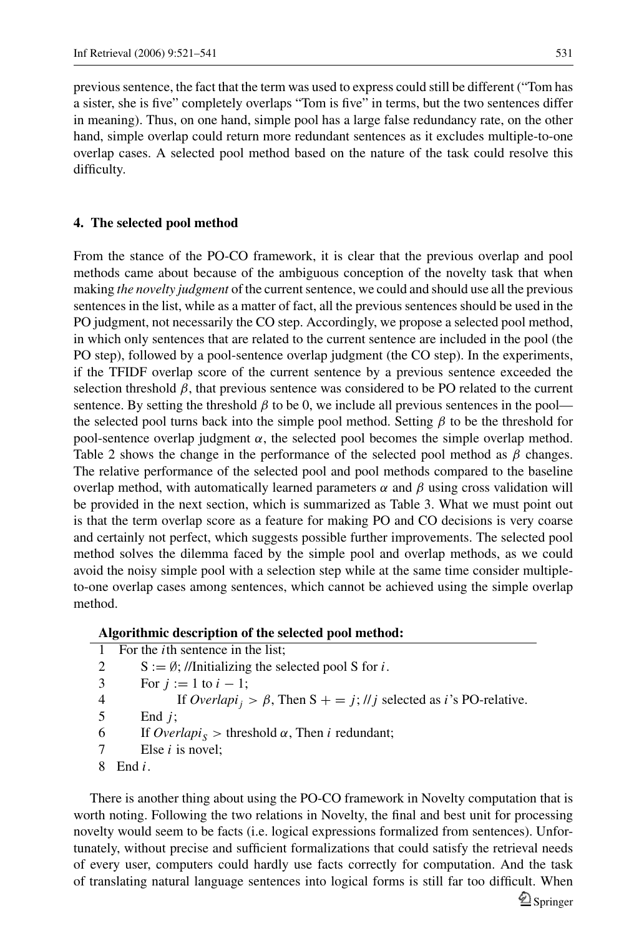previous sentence, the fact that the term was used to express could still be different ("Tom has a sister, she is five" completely overlaps "Tom is five" in terms, but the two sentences differ in meaning). Thus, on one hand, simple pool has a large false redundancy rate, on the other hand, simple overlap could return more redundant sentences as it excludes multiple-to-one overlap cases. A selected pool method based on the nature of the task could resolve this difficulty.

## **4. The selected pool method**

From the stance of the PO-CO framework, it is clear that the previous overlap and pool methods came about because of the ambiguous conception of the novelty task that when making *the novelty judgment* of the current sentence, we could and should use all the previous sentences in the list, while as a matter of fact, all the previous sentences should be used in the PO judgment, not necessarily the CO step. Accordingly, we propose a selected pool method, in which only sentences that are related to the current sentence are included in the pool (the PO step), followed by a pool-sentence overlap judgment (the CO step). In the experiments, if the TFIDF overlap score of the current sentence by a previous sentence exceeded the selection threshold  $\beta$ , that previous sentence was considered to be PO related to the current sentence. By setting the threshold  $\beta$  to be 0, we include all previous sentences in the pool the selected pool turns back into the simple pool method. Setting  $\beta$  to be the threshold for pool-sentence overlap judgment  $\alpha$ , the selected pool becomes the simple overlap method. Table 2 shows the change in the performance of the selected pool method as  $\beta$  changes. The relative performance of the selected pool and pool methods compared to the baseline overlap method, with automatically learned parameters  $\alpha$  and  $\beta$  using cross validation will be provided in the next section, which is summarized as Table 3. What we must point out is that the term overlap score as a feature for making PO and CO decisions is very coarse and certainly not perfect, which suggests possible further improvements. The selected pool method solves the dilemma faced by the simple pool and overlap methods, as we could avoid the noisy simple pool with a selection step while at the same time consider multipleto-one overlap cases among sentences, which cannot be achieved using the simple overlap method.

## **Algorithmic description of the selected pool method:**

- 1 For the *i*th sentence in the list;
- 2  $S := \emptyset$ ; //Initializing the selected pool S for *i*.
- 3 For  $j := 1$  to  $i 1$ ;
- 4 If *Overlapi*<sub>j</sub> > β, Then S + = *j*; //*j* selected as *i*'s PO-relative.<br>5 End *i*:
- 5 End *j*;
- 6 If *Overlapi*<sub>S</sub> > threshold α, Then *i* redundant;<br>7 Else *i* is novel:
- Else *i* is novel:
- 8 End *i*.

There is another thing about using the PO-CO framework in Novelty computation that is worth noting. Following the two relations in Novelty, the final and best unit for processing novelty would seem to be facts (i.e. logical expressions formalized from sentences). Unfortunately, without precise and sufficient formalizations that could satisfy the retrieval needs of every user, computers could hardly use facts correctly for computation. And the task of translating natural language sentences into logical forms is still far too difficult. When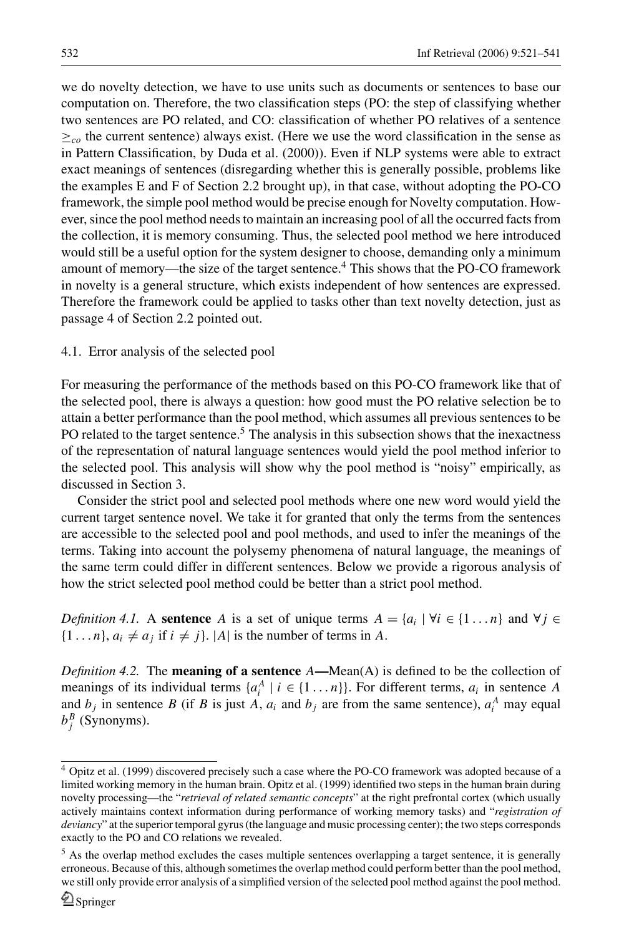we do novelty detection, we have to use units such as documents or sentences to base our computation on. Therefore, the two classification steps (PO: the step of classifying whether two sentences are PO related, and CO: classification of whether PO relatives of a sentence ≥*co* the current sentence) always exist. (Here we use the word classification in the sense as in Pattern Classification, by Duda et al. (2000)). Even if NLP systems were able to extract exact meanings of sentences (disregarding whether this is generally possible, problems like the examples E and F of Section 2.2 brought up), in that case, without adopting the PO-CO framework, the simple pool method would be precise enough for Novelty computation. However, since the pool method needs to maintain an increasing pool of all the occurred facts from the collection, it is memory consuming. Thus, the selected pool method we here introduced would still be a useful option for the system designer to choose, demanding only a minimum amount of memory—the size of the target sentence.<sup>4</sup> This shows that the PO-CO framework in novelty is a general structure, which exists independent of how sentences are expressed. Therefore the framework could be applied to tasks other than text novelty detection, just as passage 4 of Section 2.2 pointed out.

# 4.1. Error analysis of the selected pool

For measuring the performance of the methods based on this PO-CO framework like that of the selected pool, there is always a question: how good must the PO relative selection be to attain a better performance than the pool method, which assumes all previous sentences to be PO related to the target sentence.<sup>5</sup> The analysis in this subsection shows that the inexactness of the representation of natural language sentences would yield the pool method inferior to the selected pool. This analysis will show why the pool method is "noisy" empirically, as discussed in Section 3.

Consider the strict pool and selected pool methods where one new word would yield the current target sentence novel. We take it for granted that only the terms from the sentences are accessible to the selected pool and pool methods, and used to infer the meanings of the terms. Taking into account the polysemy phenomena of natural language, the meanings of the same term could differ in different sentences. Below we provide a rigorous analysis of how the strict selected pool method could be better than a strict pool method.

*Definition 4.1.* A **sentence** *A* is a set of unique terms  $A = \{a_i \mid \forall i \in \{1 \dots n\} \text{ and } \forall j \in \{1, \dots n\} \}$  $\{1 \dots n\}, a_i \neq a_j$  if  $i \neq j\}$ .  $|A|$  is the number of terms in A.

*Definition 4.2.* The **meaning of a sentence** *A***—**Mean(A) is defined to be the collection of meanings of its individual terms  $\{a_i^A \mid i \in \{1 \dots n\}\}\)$ . For different terms,  $a_i$  in sentence *A* and  $b_j$  in sentence *B* (if *B* is just *A*,  $a_i$  and  $b_j$  are from the same sentence),  $a_i^A$  may equal  $b_j^B$  (Synonyms).

<sup>4</sup> Opitz et al. (1999) discovered precisely such a case where the PO-CO framework was adopted because of a limited working memory in the human brain. Opitz et al. (1999) identified two steps in the human brain during novelty processing—the "*retrieval of related semantic concepts*" at the right prefrontal cortex (which usually actively maintains context information during performance of working memory tasks) and "*registration of deviancy*" at the superior temporal gyrus (the language and music processing center); the two steps corresponds exactly to the PO and CO relations we revealed.

<sup>&</sup>lt;sup>5</sup> As the overlap method excludes the cases multiple sentences overlapping a target sentence, it is generally erroneous. Because of this, although sometimes the overlap method could perform better than the pool method, we still only provide error analysis of a simplified version of the selected pool method against the pool method.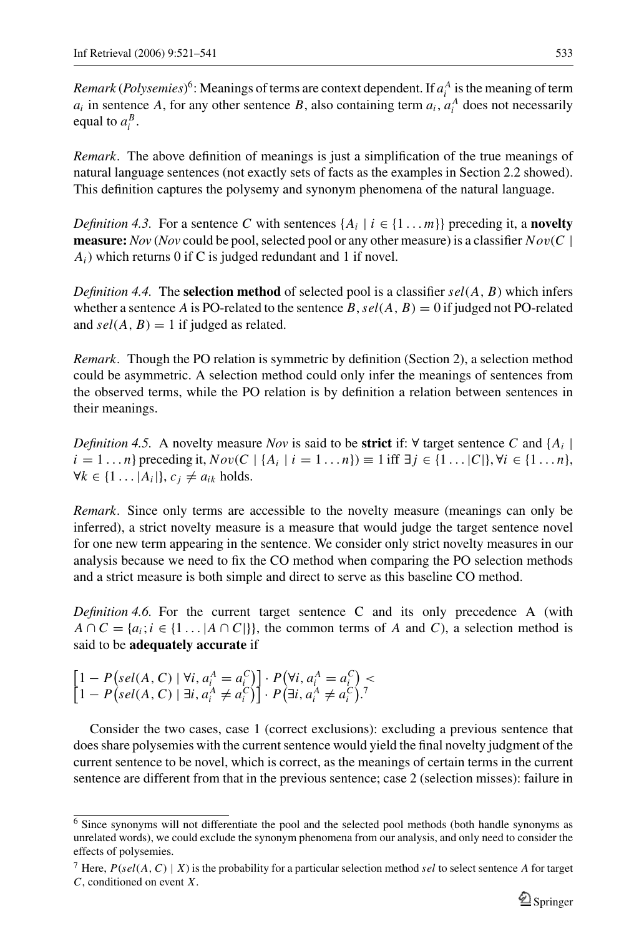*Remark* (*Polysemies*)<sup>6</sup>: Meanings of terms are context dependent. If  $a_i^A$  is the meaning of term *a<sub>i</sub>* in sentence *A*, for any other sentence *B*, also containing term  $a_i$ ,  $a_i^A$  does not necessarily equal to  $a_i^B$ .

*Remark.* The above definition of meanings is just a simplification of the true meanings of natural language sentences (not exactly sets of facts as the examples in Section 2.2 showed). This definition captures the polysemy and synonym phenomena of the natural language.

*Definition 4.3.* For a sentence *C* with sentences  $\{A_i \mid i \in \{1 \dots m\}\}$  preceding it, a **novelty measure:** *Nov* (*Nov* could be pool, selected pool or any other measure) is a classifier *No*v(*C* | *Ai*) which returns 0 if C is judged redundant and 1 if novel.

*Definition 4.4.* The **selection method** of selected pool is a classifier  $sel(A, B)$  which infers whether a sentence *A* is PO-related to the sentence *B*,  $sel(A, B) = 0$  if judged not PO-related and  $sel(A, B) = 1$  if judged as related.

*Remark.* Though the PO relation is symmetric by definition (Section 2), a selection method could be asymmetric. A selection method could only infer the meanings of sentences from the observed terms, while the PO relation is by definition a relation between sentences in their meanings.

*Definition 4.5.* A novelty measure *Nov* is said to be **strict** if:  $\forall$  target sentence *C* and  $\{A_i\}$ *i* = 1... *n*} preceding it,  $Nov(C | {A_i | i = 1 ... n} ) \equiv 1$  iff  $\exists j \in \{1 ... |C|\}$ ,  $\forall i \in \{1 ... n\}$ ,  $∀k ∈ {1... |A<sub>i</sub>|}, c<sub>i</sub> ≠ a<sub>ik</sub> holds.$ 

*Remark.* Since only terms are accessible to the novelty measure (meanings can only be inferred), a strict novelty measure is a measure that would judge the target sentence novel for one new term appearing in the sentence. We consider only strict novelty measures in our analysis because we need to fix the CO method when comparing the PO selection methods and a strict measure is both simple and direct to serve as this baseline CO method.

*Definition 4.6.* For the current target sentence C and its only precedence A (with  $A \cap C = \{a_i; i \in \{1 \dots | A \cap C|\}\}\$ , the common terms of *A* and *C*), a selection method is said to be **adequately accurate** if

$$
\begin{bmatrix} 1 - P(sel(A, C) | \forall i, a_i^A = a_i^C) \\ 1 - P(sel(A, C) | \exists i, a_i^A \neq a_i^C) \end{bmatrix} \cdot P(\forall i, a_i^A \neq a_i^C) \\ \cdot P(\exists i, a_i^A \neq a_i^C) \cdot P(\forall i, a_i^A \neq a_i^C) \cdot P(\forall i, a_i^A \neq a_i^C)
$$

Consider the two cases, case 1 (correct exclusions): excluding a previous sentence that does share polysemies with the current sentence would yield the final novelty judgment of the current sentence to be novel, which is correct, as the meanings of certain terms in the current sentence are different from that in the previous sentence; case 2 (selection misses): failure in

<sup>6</sup> Since synonyms will not differentiate the pool and the selected pool methods (both handle synonyms as unrelated words), we could exclude the synonym phenomena from our analysis, and only need to consider the effects of polysemies.

<sup>&</sup>lt;sup>7</sup> Here,  $P(self(A, C) | X)$  is the probability for a particular selection method *sel* to select sentence *A* for target *C*, conditioned on event *X*.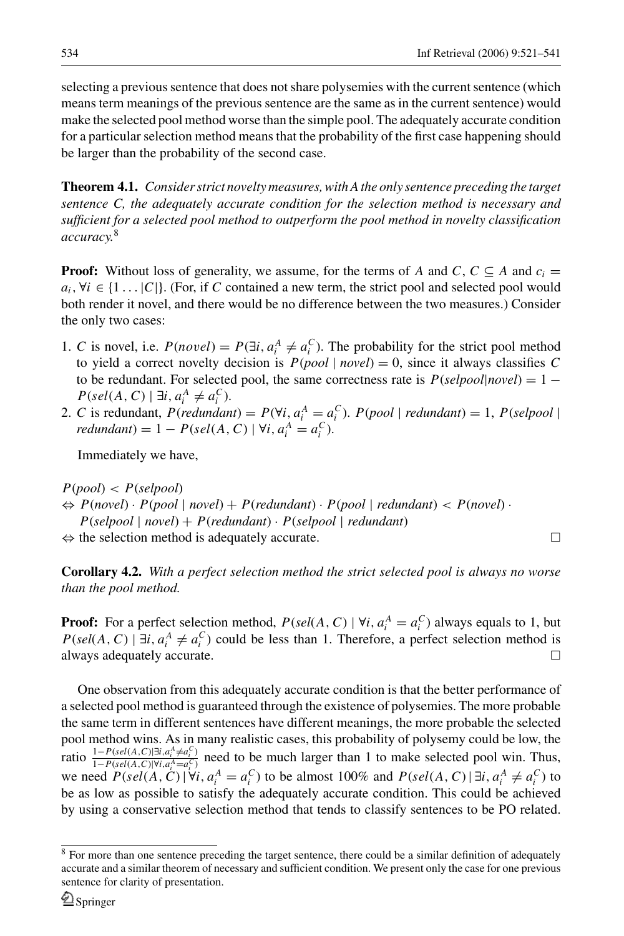selecting a previous sentence that does not share polysemies with the current sentence (which means term meanings of the previous sentence are the same as in the current sentence) would make the selected pool method worse than the simple pool. The adequately accurate condition for a particular selection method means that the probability of the first case happening should be larger than the probability of the second case.

**Theorem 4.1.** *Consider strict novelty measures, with A the only sentence preceding the target sentence C, the adequately accurate condition for the selection method is necessary and sufficient for a selected pool method to outperform the pool method in novelty classification accuracy.*<sup>8</sup>

**Proof:** Without loss of generality, we assume, for the terms of *A* and  $C, C \subseteq A$  and  $c_i =$  $a_i, \forall i \in \{1 \dots |C|\}$ . (For, if *C* contained a new term, the strict pool and selected pool would both render it novel, and there would be no difference between the two measures.) Consider the only two cases:

- 1. *C* is novel, i.e.  $P(novel) = P(\exists i, a_i^A \neq a_i^C)$ . The probability for the strict pool method to yield a correct novelty decision is  $P(pool | novel) = 0$ , since it always classifies C to be redundant. For selected pool, the same correctness rate is  $P$ ( $\mathcal{S}elpool| \mathcal{novel}$ ) = 1 − *P*(*sel*(*A*, *C*) | ∃*i*,  $a_i^A \neq a_i^C$ ).
- 2. *C* is redundant,  $P(\text{redundant}) = P(\forall i, a_i^A = a_i^C)$ .  $P(\text{pool} \mid \text{redundant}) = 1$ ,  $P(\text{selpool} \mid \text{redundant}) = 1$  $r$ *edundant* $) = 1 - P(sel(A, C) | \forall i, a_i^A = a_i^C).$

Immediately we have,

 $P(pool) < P(selpool)$ 

 $\Leftrightarrow$   $P(novel) \cdot P(pool \mid novel) + P(redundant) \cdot P(pool \mid redundant) < P(novel)$ *P*(*selpool* | *novel*) + *P*(*redundant*) · *P*(*selpool* | *redundant*)

 $\Leftrightarrow$  the selection method is adequately accurate.  $\square$ 

**Corollary 4.2.** *With a perfect selection method the strict selected pool is always no worse than the pool method.*

**Proof:** For a perfect selection method,  $P(self(A, C) | \forall i, a_i^A = a_i^C)$  always equals to 1, but *P*(*sel*(*A*, *C*) | ∃*i*,  $a_i^A \neq a_i^C$ ) could be less than 1. Therefore, a perfect selection method is always adequately accurate.  $\Box$ 

One observation from this adequately accurate condition is that the better performance of a selected pool method is guaranteed through the existence of polysemies. The more probable the same term in different sentences have different meanings, the more probable the selected pool method wins. As in many realistic cases, this probability of polysemy could be low, the ratio  $\frac{1-P(sel(A,C)|\exists i, a_i^A \neq a_i^C)}{1-P(sel(A,C)|\forall i, a_i^A \neq a_i^C)}$  need to be much larger than 1 to make selected pool win. Thus, we need  $P(self(A, C) | \forall i, a_i^A = a_i^C)$  to be almost 100% and  $P(self(A, C) | \exists i, a_i^A \neq a_i^C)$  to be as low as possible to satisfy the adequately accurate condition. This could be achieved by using a conservative selection method that tends to classify sentences to be PO related.

<sup>&</sup>lt;sup>8</sup> For more than one sentence preceding the target sentence, there could be a similar definition of adequately accurate and a similar theorem of necessary and sufficient condition. We present only the case for one previous sentence for clarity of presentation.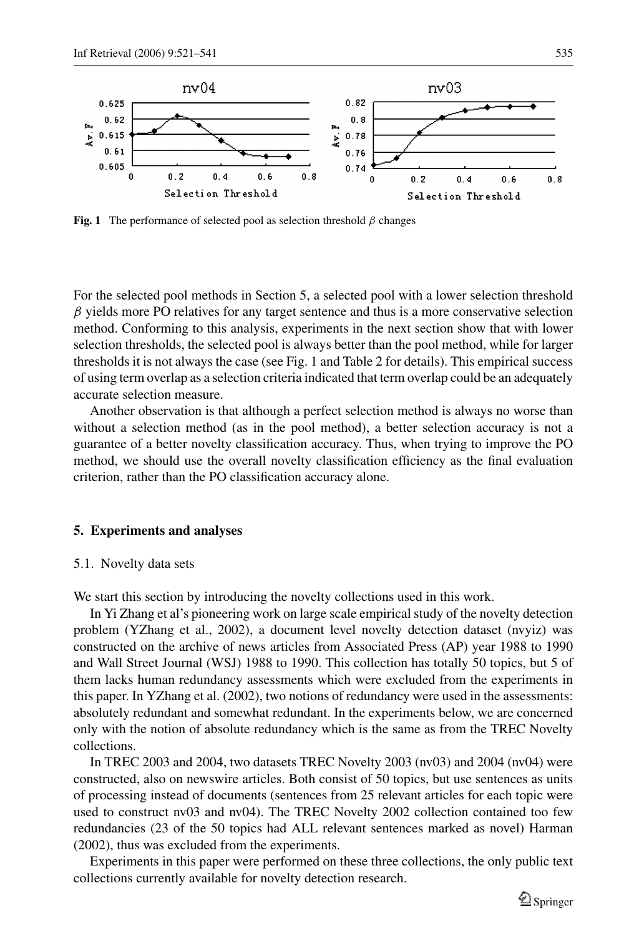

**Fig. 1** The performance of selected pool as selection threshold  $\beta$  changes

For the selected pool methods in Section 5, a selected pool with a lower selection threshold  $\beta$  yields more PO relatives for any target sentence and thus is a more conservative selection method. Conforming to this analysis, experiments in the next section show that with lower selection thresholds, the selected pool is always better than the pool method, while for larger thresholds it is not always the case (see Fig. 1 and Table 2 for details). This empirical success of using term overlap as a selection criteria indicated that term overlap could be an adequately accurate selection measure.

Another observation is that although a perfect selection method is always no worse than without a selection method (as in the pool method), a better selection accuracy is not a guarantee of a better novelty classification accuracy. Thus, when trying to improve the PO method, we should use the overall novelty classification efficiency as the final evaluation criterion, rather than the PO classification accuracy alone.

#### **5. Experiments and analyses**

#### 5.1. Novelty data sets

We start this section by introducing the novelty collections used in this work.

In Yi Zhang et al's pioneering work on large scale empirical study of the novelty detection problem (YZhang et al., 2002), a document level novelty detection dataset (nvyiz) was constructed on the archive of news articles from Associated Press (AP) year 1988 to 1990 and Wall Street Journal (WSJ) 1988 to 1990. This collection has totally 50 topics, but 5 of them lacks human redundancy assessments which were excluded from the experiments in this paper. In YZhang et al. (2002), two notions of redundancy were used in the assessments: absolutely redundant and somewhat redundant. In the experiments below, we are concerned only with the notion of absolute redundancy which is the same as from the TREC Novelty collections.

In TREC 2003 and 2004, two datasets TREC Novelty 2003 (nv03) and 2004 (nv04) were constructed, also on newswire articles. Both consist of 50 topics, but use sentences as units of processing instead of documents (sentences from 25 relevant articles for each topic were used to construct nv03 and nv04). The TREC Novelty 2002 collection contained too few redundancies (23 of the 50 topics had ALL relevant sentences marked as novel) Harman (2002), thus was excluded from the experiments.

Experiments in this paper were performed on these three collections, the only public text collections currently available for novelty detection research.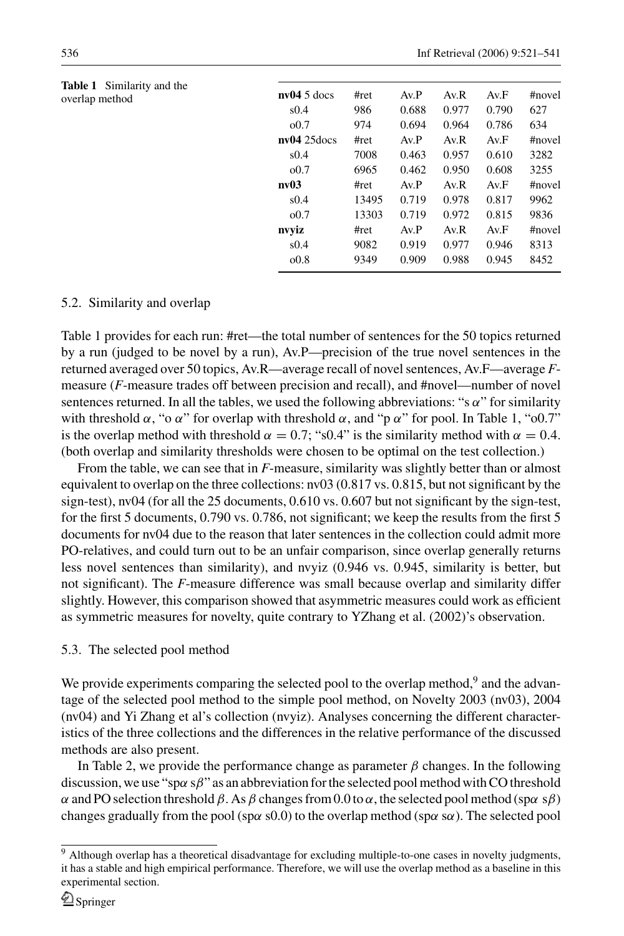| <b>Table 1</b> Similarity and the<br>overlap method | $nv045$ docs  | #ret  | Av.P  | Av.R  | Av.F  | #novel |
|-----------------------------------------------------|---------------|-------|-------|-------|-------|--------|
|                                                     | s0.4          | 986   | 0.688 | 0.977 | 0.790 | 627    |
|                                                     | 0.7           | 974   | 0.694 | 0.964 | 0.786 | 634    |
|                                                     | $nv0425$ docs | #ret  | Av.P  | Av.R  | Av.F  | #novel |
|                                                     | s0.4          | 7008  | 0.463 | 0.957 | 0.610 | 3282   |
|                                                     | 0.7           | 6965  | 0.462 | 0.950 | 0.608 | 3255   |
|                                                     | nv03          | #ret  | Av.P  | Av.R  | Av.F  | #novel |
|                                                     | s0.4          | 13495 | 0.719 | 0.978 | 0.817 | 9962   |
|                                                     | 0.7           | 13303 | 0.719 | 0.972 | 0.815 | 9836   |
|                                                     | nvyiz         | #ret  | Av.P  | Av.R  | Av.F  | #novel |
|                                                     | s0.4          | 9082  | 0.919 | 0.977 | 0.946 | 8313   |
|                                                     | 0.8           | 9349  | 0.909 | 0.988 | 0.945 | 8452   |
|                                                     |               |       |       |       |       |        |

## 5.2. Similarity and overlap

Table 1 provides for each run: #ret—the total number of sentences for the 50 topics returned by a run (judged to be novel by a run), Av.P—precision of the true novel sentences in the returned averaged over 50 topics, Av.R—average recall of novel sentences, Av.F—average *F*measure (*F*-measure trades off between precision and recall), and #novel—number of novel sentences returned. In all the tables, we used the following abbreviations: "s  $\alpha$ " for similarity with threshold  $\alpha$ , "o  $\alpha$ " for overlap with threshold  $\alpha$ , and "p  $\alpha$ " for pool. In Table 1, "o0.7" is the overlap method with threshold  $\alpha = 0.7$ ; "s0.4" is the similarity method with  $\alpha = 0.4$ . (both overlap and similarity thresholds were chosen to be optimal on the test collection.)

From the table, we can see that in *F*-measure, similarity was slightly better than or almost equivalent to overlap on the three collections: nv03 (0.817 vs. 0.815, but not significant by the sign-test), nv04 (for all the 25 documents, 0.610 vs. 0.607 but not significant by the sign-test, for the first 5 documents, 0.790 vs. 0.786, not significant; we keep the results from the first 5 documents for nv04 due to the reason that later sentences in the collection could admit more PO-relatives, and could turn out to be an unfair comparison, since overlap generally returns less novel sentences than similarity), and nvyiz (0.946 vs. 0.945, similarity is better, but not significant). The *F*-measure difference was small because overlap and similarity differ slightly. However, this comparison showed that asymmetric measures could work as efficient as symmetric measures for novelty, quite contrary to YZhang et al. (2002)'s observation.

#### 5.3. The selected pool method

We provide experiments comparing the selected pool to the overlap method, $9$  and the advantage of the selected pool method to the simple pool method, on Novelty 2003 (nv03), 2004 (nv04) and Yi Zhang et al's collection (nvyiz). Analyses concerning the different characteristics of the three collections and the differences in the relative performance of the discussed methods are also present.

In Table 2, we provide the performance change as parameter  $\beta$  changes. In the following discussion, we use "sp $\alpha$  s $\beta$ " as an abbreviation for the selected pool method with CO threshold α and PO selection threshold β. As β changes from 0.0 to  $\alpha$ , the selected pool method (spα sβ) changes gradually from the pool (sp $\alpha$  s0.0) to the overlap method (sp $\alpha$  s $\alpha$ ). The selected pool

<sup>&</sup>lt;sup>9</sup> Although overlap has a theoretical disadvantage for excluding multiple-to-one cases in novelty judgments, it has a stable and high empirical performance. Therefore, we will use the overlap method as a baseline in this experimental section.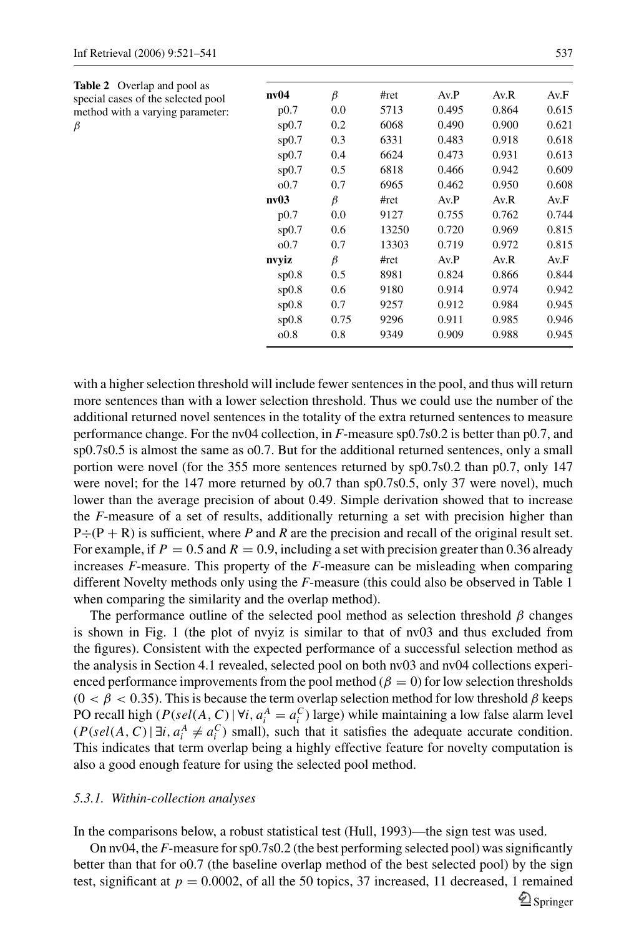| <b>Table 2</b> Overlap and pool as |
|------------------------------------|
| special cases of the selected pool |
| method with a varying parameter:   |
| $\beta$                            |

| nv04  | β    | #ret  | Av.P  | Av.R  | Av.F  |
|-------|------|-------|-------|-------|-------|
| p0.7  | 0.0  | 5713  | 0.495 | 0.864 | 0.615 |
| sp0.7 | 0.2  | 6068  | 0.490 | 0.900 | 0.621 |
| sp0.7 | 0.3  | 6331  | 0.483 | 0.918 | 0.618 |
| sp0.7 | 0.4  | 6624  | 0.473 | 0.931 | 0.613 |
| sp0.7 | 0.5  | 6818  | 0.466 | 0.942 | 0.609 |
| 0.7   | 0.7  | 6965  | 0.462 | 0.950 | 0.608 |
| nv03  | β    | #ret  | Av.P  | Av.R  | Av.F  |
| p0.7  | 0.0  | 9127  | 0.755 | 0.762 | 0.744 |
| sp0.7 | 0.6  | 13250 | 0.720 | 0.969 | 0.815 |
| 0.7   | 0.7  | 13303 | 0.719 | 0.972 | 0.815 |
| nvyiz | β    | #ret  | Av.P  | Av.R  | Av.F  |
| sp0.8 | 0.5  | 8981  | 0.824 | 0.866 | 0.844 |
| sp0.8 | 0.6  | 9180  | 0.914 | 0.974 | 0.942 |
| sp0.8 | 0.7  | 9257  | 0.912 | 0.984 | 0.945 |
| sp0.8 | 0.75 | 9296  | 0.911 | 0.985 | 0.946 |
| 0.8   | 0.8  | 9349  | 0.909 | 0.988 | 0.945 |

with a higher selection threshold will include fewer sentences in the pool, and thus will return more sentences than with a lower selection threshold. Thus we could use the number of the additional returned novel sentences in the totality of the extra returned sentences to measure performance change. For the nv04 collection, in *F*-measure sp0.7s0.2 is better than p0.7, and sp0.7s0.5 is almost the same as o0.7. But for the additional returned sentences, only a small portion were novel (for the 355 more sentences returned by sp0.7s0.2 than p0.7, only 147 were novel; for the 147 more returned by  $0.7$  than sp0.7s0.5, only 37 were novel), much lower than the average precision of about 0.49. Simple derivation showed that to increase the *F*-measure of a set of results, additionally returning a set with precision higher than  $P \div (P + R)$  is sufficient, where P and R are the precision and recall of the original result set. For example, if  $P = 0.5$  and  $R = 0.9$ , including a set with precision greater than 0.36 already increases *F*-measure. This property of the *F*-measure can be misleading when comparing different Novelty methods only using the *F*-measure (this could also be observed in Table 1 when comparing the similarity and the overlap method).

The performance outline of the selected pool method as selection threshold  $\beta$  changes is shown in Fig. 1 (the plot of nvyiz is similar to that of nv03 and thus excluded from the figures). Consistent with the expected performance of a successful selection method as the analysis in Section 4.1 revealed, selected pool on both nv03 and nv04 collections experienced performance improvements from the pool method ( $\beta = 0$ ) for low selection thresholds  $(0 < \beta < 0.35)$ . This is because the term overlap selection method for low threshold  $\beta$  keeps PO recall high  $(P(self(A, C) | \forall i, a_i^A = a_i^C)$  large) while maintaining a low false alarm level  $(P(self(A, C) | \exists i, a_i^A \neq a_i^C)$  small), such that it satisfies the adequate accurate condition. This indicates that term overlap being a highly effective feature for novelty computation is also a good enough feature for using the selected pool method.

# *5.3.1. Within-collection analyses*

In the comparisons below, a robust statistical test (Hull, 1993)—the sign test was used.

On nv04, the *F*-measure for sp0.7s0.2 (the best performing selected pool) was significantly better than that for o0.7 (the baseline overlap method of the best selected pool) by the sign test, significant at  $p = 0.0002$ , of all the 50 topics, 37 increased, 11 decreased, 1 remained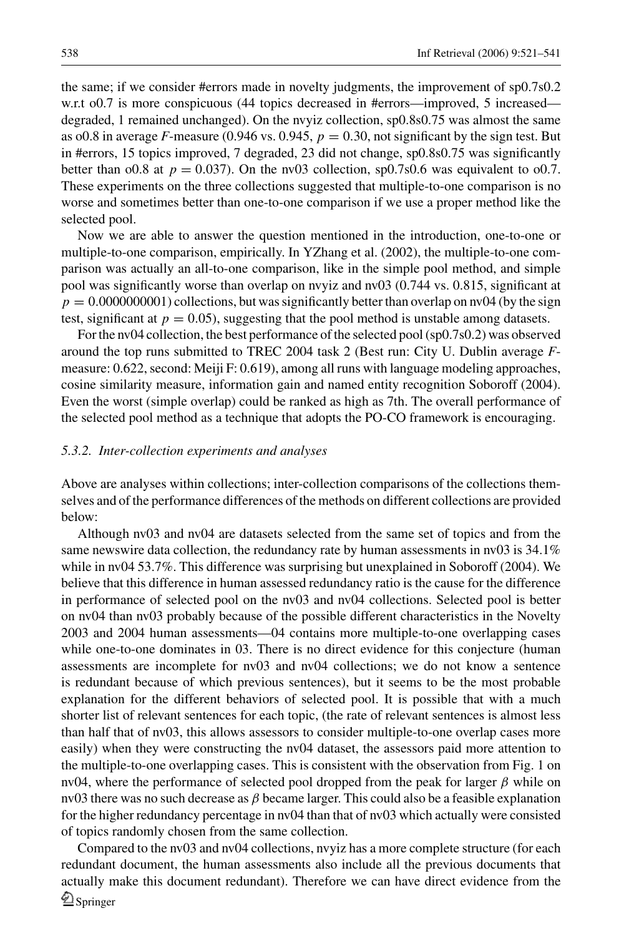the same; if we consider #errors made in novelty judgments, the improvement of sp0.7s0.2 w.r.t o0.7 is more conspicuous (44 topics decreased in #errors—improved, 5 increased degraded, 1 remained unchanged). On the nvyiz collection, sp0.8s0.75 was almost the same as  $0.8$  in average *F*-measure (0.946 vs. 0.945,  $p = 0.30$ , not significant by the sign test. But in #errors, 15 topics improved, 7 degraded, 23 did not change, sp0.8s0.75 was significantly better than  $0.8$  at  $p = 0.037$ . On the nv03 collection, sp0.7s0.6 was equivalent to 00.7. These experiments on the three collections suggested that multiple-to-one comparison is no worse and sometimes better than one-to-one comparison if we use a proper method like the selected pool.

Now we are able to answer the question mentioned in the introduction, one-to-one or multiple-to-one comparison, empirically. In YZhang et al. (2002), the multiple-to-one comparison was actually an all-to-one comparison, like in the simple pool method, and simple pool was significantly worse than overlap on nvyiz and nv03 (0.744 vs. 0.815, significant at  $p = 0.0000000001$ ) collections, but was significantly better than overlap on nv04 (by the sign test, significant at  $p = 0.05$ ), suggesting that the pool method is unstable among datasets.

For the nv04 collection, the best performance of the selected pool (sp0.7s0.2) was observed around the top runs submitted to TREC 2004 task 2 (Best run: City U. Dublin average *F*measure: 0.622, second: Meiji F: 0.619), among all runs with language modeling approaches, cosine similarity measure, information gain and named entity recognition Soboroff (2004). Even the worst (simple overlap) could be ranked as high as 7th. The overall performance of the selected pool method as a technique that adopts the PO-CO framework is encouraging.

#### *5.3.2. Inter-collection experiments and analyses*

Above are analyses within collections; inter-collection comparisons of the collections themselves and of the performance differences of the methods on different collections are provided below:

Although nv03 and nv04 are datasets selected from the same set of topics and from the same newswire data collection, the redundancy rate by human assessments in nv03 is 34.1% while in nv04 53.7%. This difference was surprising but unexplained in Soboroff (2004). We believe that this difference in human assessed redundancy ratio is the cause for the difference in performance of selected pool on the nv03 and nv04 collections. Selected pool is better on nv04 than nv03 probably because of the possible different characteristics in the Novelty 2003 and 2004 human assessments—04 contains more multiple-to-one overlapping cases while one-to-one dominates in 03. There is no direct evidence for this conjecture (human assessments are incomplete for nv03 and nv04 collections; we do not know a sentence is redundant because of which previous sentences), but it seems to be the most probable explanation for the different behaviors of selected pool. It is possible that with a much shorter list of relevant sentences for each topic, (the rate of relevant sentences is almost less than half that of nv03, this allows assessors to consider multiple-to-one overlap cases more easily) when they were constructing the nv04 dataset, the assessors paid more attention to the multiple-to-one overlapping cases. This is consistent with the observation from Fig. 1 on nv04, where the performance of selected pool dropped from the peak for larger  $β$  while on nv03 there was no such decrease as  $\beta$  became larger. This could also be a feasible explanation for the higher redundancy percentage in nv04 than that of nv03 which actually were consisted of topics randomly chosen from the same collection.

Compared to the nv03 and nv04 collections, nvyiz has a more complete structure (for each redundant document, the human assessments also include all the previous documents that actually make this document redundant). Therefore we can have direct evidence from the  $\bigcirc$  Springer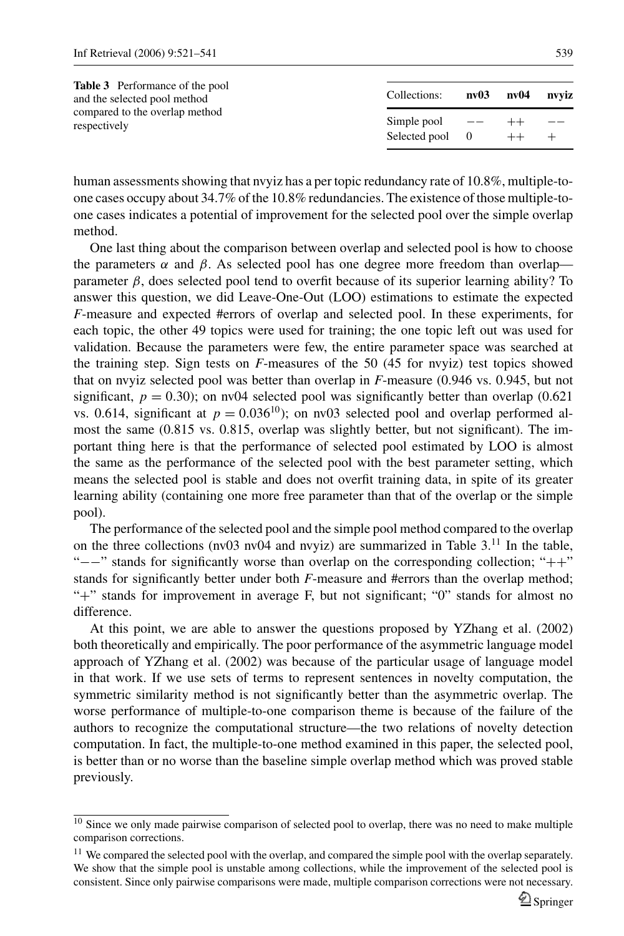| <b>Table 3</b> Performance of the pool<br>and the selected pool method | Collections:                                  | nv03 | nv04  | nvviz  |
|------------------------------------------------------------------------|-----------------------------------------------|------|-------|--------|
| compared to the overlap method<br>respectively                         | Simple pool $-\frac{1}{x}$<br>Selected pool 0 |      | $-++$ | $-\,-$ |

human assessments showing that nvyiz has a per topic redundancy rate of 10.8%, multiple-toone cases occupy about 34.7% of the 10.8% redundancies. The existence of those multiple-toone cases indicates a potential of improvement for the selected pool over the simple overlap method.

One last thing about the comparison between overlap and selected pool is how to choose the parameters  $\alpha$  and  $\beta$ . As selected pool has one degree more freedom than overlap parameter  $\beta$ , does selected pool tend to overfit because of its superior learning ability? To answer this question, we did Leave-One-Out (LOO) estimations to estimate the expected *F*-measure and expected #errors of overlap and selected pool. In these experiments, for each topic, the other 49 topics were used for training; the one topic left out was used for validation. Because the parameters were few, the entire parameter space was searched at the training step. Sign tests on *F*-measures of the 50 (45 for nvyiz) test topics showed that on nvyiz selected pool was better than overlap in *F*-measure (0.946 vs. 0.945, but not significant,  $p = 0.30$ ; on nv04 selected pool was significantly better than overlap (0.621) vs. 0.614, significant at  $p = 0.036^{10}$ ; on nv03 selected pool and overlap performed almost the same (0.815 vs. 0.815, overlap was slightly better, but not significant). The important thing here is that the performance of selected pool estimated by LOO is almost the same as the performance of the selected pool with the best parameter setting, which means the selected pool is stable and does not overfit training data, in spite of its greater learning ability (containing one more free parameter than that of the overlap or the simple pool).

The performance of the selected pool and the simple pool method compared to the overlap on the three collections (nv03 nv04 and nvyiz) are summarized in Table  $3<sup>11</sup>$  In the table, "−−" stands for significantly worse than overlap on the corresponding collection; "++" stands for significantly better under both *F*-measure and #errors than the overlap method; "+" stands for improvement in average F, but not significant; "0" stands for almost no difference.

At this point, we are able to answer the questions proposed by YZhang et al. (2002) both theoretically and empirically. The poor performance of the asymmetric language model approach of YZhang et al. (2002) was because of the particular usage of language model in that work. If we use sets of terms to represent sentences in novelty computation, the symmetric similarity method is not significantly better than the asymmetric overlap. The worse performance of multiple-to-one comparison theme is because of the failure of the authors to recognize the computational structure—the two relations of novelty detection computation. In fact, the multiple-to-one method examined in this paper, the selected pool, is better than or no worse than the baseline simple overlap method which was proved stable previously.

<sup>&</sup>lt;sup>10</sup> Since we only made pairwise comparison of selected pool to overlap, there was no need to make multiple comparison corrections.

<sup>&</sup>lt;sup>11</sup> We compared the selected pool with the overlap, and compared the simple pool with the overlap separately. We show that the simple pool is unstable among collections, while the improvement of the selected pool is consistent. Since only pairwise comparisons were made, multiple comparison corrections were not necessary.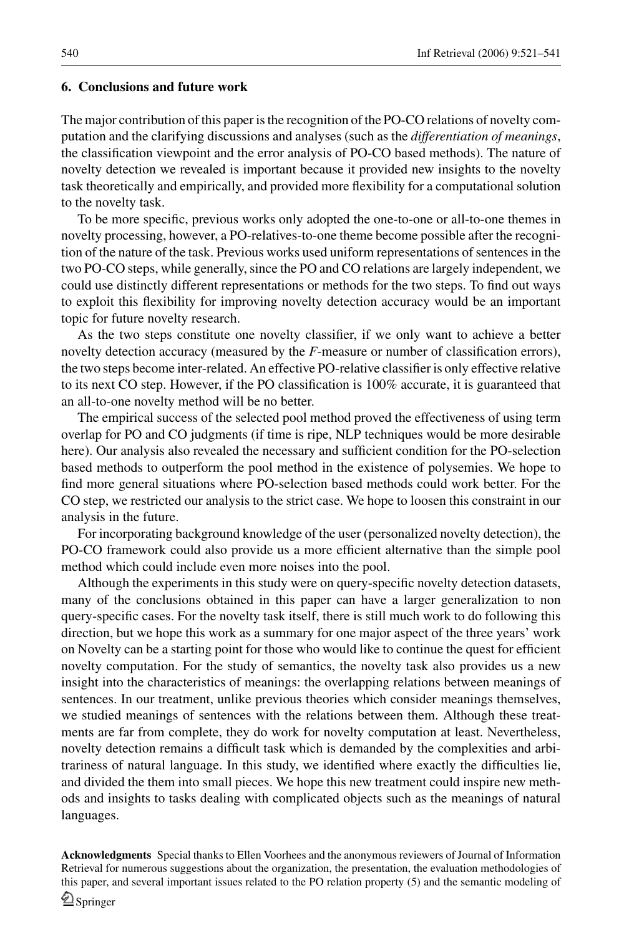#### **6. Conclusions and future work**

The major contribution of this paper is the recognition of the PO-CO relations of novelty computation and the clarifying discussions and analyses (such as the *differentiation of meanings*, the classification viewpoint and the error analysis of PO-CO based methods). The nature of novelty detection we revealed is important because it provided new insights to the novelty task theoretically and empirically, and provided more flexibility for a computational solution to the novelty task.

To be more specific, previous works only adopted the one-to-one or all-to-one themes in novelty processing, however, a PO-relatives-to-one theme become possible after the recognition of the nature of the task. Previous works used uniform representations of sentences in the two PO-CO steps, while generally, since the PO and CO relations are largely independent, we could use distinctly different representations or methods for the two steps. To find out ways to exploit this flexibility for improving novelty detection accuracy would be an important topic for future novelty research.

As the two steps constitute one novelty classifier, if we only want to achieve a better novelty detection accuracy (measured by the *F*-measure or number of classification errors), the two steps become inter-related. An effective PO-relative classifier is only effective relative to its next CO step. However, if the PO classification is 100% accurate, it is guaranteed that an all-to-one novelty method will be no better.

The empirical success of the selected pool method proved the effectiveness of using term overlap for PO and CO judgments (if time is ripe, NLP techniques would be more desirable here). Our analysis also revealed the necessary and sufficient condition for the PO-selection based methods to outperform the pool method in the existence of polysemies. We hope to find more general situations where PO-selection based methods could work better. For the CO step, we restricted our analysis to the strict case. We hope to loosen this constraint in our analysis in the future.

For incorporating background knowledge of the user (personalized novelty detection), the PO-CO framework could also provide us a more efficient alternative than the simple pool method which could include even more noises into the pool.

Although the experiments in this study were on query-specific novelty detection datasets, many of the conclusions obtained in this paper can have a larger generalization to non query-specific cases. For the novelty task itself, there is still much work to do following this direction, but we hope this work as a summary for one major aspect of the three years' work on Novelty can be a starting point for those who would like to continue the quest for efficient novelty computation. For the study of semantics, the novelty task also provides us a new insight into the characteristics of meanings: the overlapping relations between meanings of sentences. In our treatment, unlike previous theories which consider meanings themselves, we studied meanings of sentences with the relations between them. Although these treatments are far from complete, they do work for novelty computation at least. Nevertheless, novelty detection remains a difficult task which is demanded by the complexities and arbitrariness of natural language. In this study, we identified where exactly the difficulties lie, and divided the them into small pieces. We hope this new treatment could inspire new methods and insights to tasks dealing with complicated objects such as the meanings of natural languages.

**Acknowledgments** Special thanks to Ellen Voorhees and the anonymous reviewers of Journal of Information Retrieval for numerous suggestions about the organization, the presentation, the evaluation methodologies of this paper, and several important issues related to the PO relation property (5) and the semantic modeling of